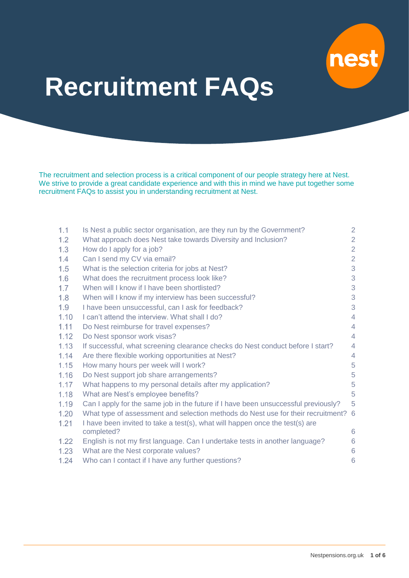<span id="page-0-0"></span>

# **Recruitment FAQs**

The recruitment and selection process is a critical component of our people strategy here at Nest. We strive to provide a great candidate experience and with this in mind we have put together some recruitment FAQs to assist you in understanding recruitment at Nest.

| 1.1    | Is Nest a public sector organisation, are they run by the Government?              | 2              |
|--------|------------------------------------------------------------------------------------|----------------|
| 1.2    | What approach does Nest take towards Diversity and Inclusion?                      | $\overline{2}$ |
| 1.3    | How do I apply for a job?                                                          | $\overline{2}$ |
| 1.4    | Can I send my CV via email?                                                        | $\overline{2}$ |
| 1.5    | What is the selection criteria for jobs at Nest?                                   | 3              |
| 1.6    | What does the recruitment process look like?                                       | 3              |
| 1.7    | When will I know if I have been shortlisted?                                       | 3              |
| 1.8    | When will I know if my interview has been successful?                              | 3              |
| 1.9    | I have been unsuccessful, can I ask for feedback?                                  | 3              |
| 1.10   | I can't attend the interview. What shall I do?                                     | $\overline{4}$ |
| 1.11   | Do Nest reimburse for travel expenses?                                             | $\overline{4}$ |
| 1.12   | Do Nest sponsor work visas?                                                        | $\overline{4}$ |
| 1.13   | If successful, what screening clearance checks do Nest conduct before I start?     | $\overline{4}$ |
| 1.14   | Are there flexible working opportunities at Nest?                                  | $\overline{4}$ |
| 1.15   | How many hours per week will I work?                                               | 5              |
| 1.16   | Do Nest support job share arrangements?                                            | 5              |
| 1.17   | What happens to my personal details after my application?                          | 5              |
| 1.18   | What are Nest's employee benefits?                                                 | 5              |
| 1.19   | Can I apply for the same job in the future if I have been unsuccessful previously? | 5              |
| 1.20   | What type of assessment and selection methods do Nest use for their recruitment? 6 |                |
| 1.21   | I have been invited to take a test(s), what will happen once the test(s) are       |                |
|        | completed?                                                                         | 6              |
| $1.22$ | English is not my first language. Can I undertake tests in another language?       | 6              |
| 1.23   | What are the Nest corporate values?                                                | 6              |
| 1.24   | Who can I contact if I have any further questions?                                 | 6              |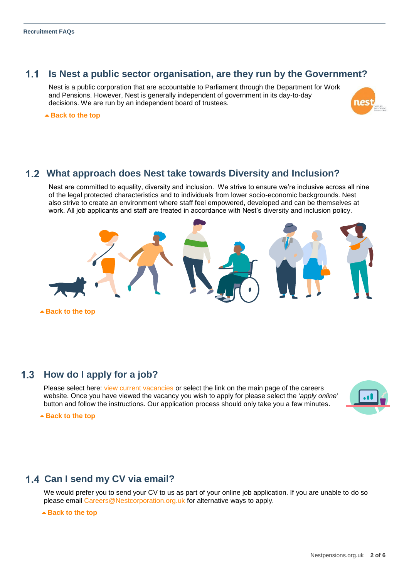#### $1.1$ **Is Nest a public sector organisation, are they run by the Government?**

<span id="page-1-0"></span>Nest is a public corporation that are accountable to Parliament through the Department for Work and Pensions. However, Nest is generally independent of government in its day-to-day decisions. We are run by an independent board of trustees.



▲ [Back to the top](#page-0-0)

#### <span id="page-1-1"></span>**What approach does Nest take towards Diversity and Inclusion?**

Nest are committed to equality, diversity and inclusion. We strive to ensure we're inclusive across all nine of the legal protected characteristics and to individuals from lower socio-economic backgrounds. Nest also strive to create an environment where staff feel empowered, developed and can be themselves at work. All job applicants and staff are treated in accordance with Nest's diversity and inclusion policy.



## <span id="page-1-2"></span>**How do I apply for a job?**

Please select here: [view current vacancies](https://ce0238li.webitrent.com/ce0238li_webrecruitment/wrd/run/ETREC106GF.display_srch_all?WVID=98767400YS&LANG=USA) or select the link on the main page of the careers website. Once you have viewed the vacancy you wish to apply for please select the *'apply online*' button and follow the instructions. Our application process should only take you a few minutes.



▲ [Back to the top](#page-0-0)

# <span id="page-1-3"></span> **Can I send my CV via email?**

We would prefer you to send your CV to us as part of your online job application. If you are unable to do so please email [Careers@Nestcorporation.org.uk](mailto:Careers@nestcorporation.org.uk) for alternative ways to apply.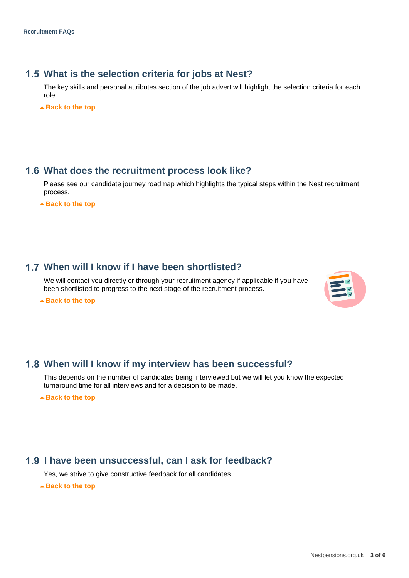# <span id="page-2-0"></span>**What is the selection criteria for jobs at Nest?**

The key skills and personal attributes section of the job advert will highlight the selection criteria for each role.

▲ [Back to the top](#page-0-0)

# <span id="page-2-1"></span>**What does the recruitment process look like?**

Please see our candidate journey roadmap which highlights the typical steps within the Nest recruitment process.

▲ [Back to the top](#page-0-0)

# <span id="page-2-2"></span>**When will I know if I have been shortlisted?**

We will contact you directly or through your recruitment agency if applicable if you have been shortlisted to progress to the next stage of the recruitment process.

▲ [Back to the top](#page-0-0)



## <span id="page-2-3"></span>**When will I know if my interview has been successful?**

This depends on the number of candidates being interviewed but we will let you know the expected turnaround time for all interviews and for a decision to be made.

▲ [Back to the top](#page-0-0)

## <span id="page-2-4"></span> **I have been unsuccessful, can I ask for feedback?**

Yes, we strive to give constructive feedback for all candidates.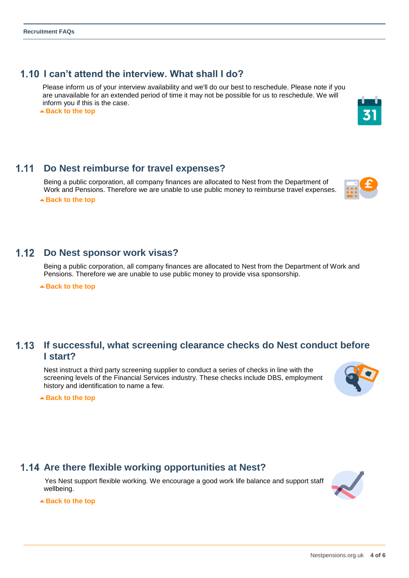# **I can't attend the interview. What shall I do?**

<span id="page-3-0"></span> Please inform us of your interview availability and we'll do our best to reschedule. Please note if you are unavailable for an extended period of time it may not be possible for us to reschedule. We will inform you if this is the case.

▲ [Back to the top](#page-0-0)

#### $1.11$ **Do Nest reimburse for travel expenses?**

<span id="page-3-1"></span>Being a public corporation, all company finances are allocated to Nest from the Department of Work and Pensions. Therefore we are unable to use public money to reimburse travel expenses.

▲ [Back to the top](#page-0-0)

# **1.12 Do Nest sponsor work visas?**

<span id="page-3-2"></span>Being a public corporation, all company finances are allocated to Nest from the Department of Work and Pensions. Therefore we are unable to use public money to provide visa sponsorship.

▲ [Back to the top](#page-0-0)

## **If successful, what screening clearance checks do Nest conduct before I start?**

<span id="page-3-3"></span>Nest instruct a third party screening supplier to conduct a series of checks in line with the screening levels of the Financial Services industry. These checks include DBS, employment history and identification to name a few.

**[Back to the top](#page-0-0)**

# **Are there flexible working opportunities at Nest?**

<span id="page-3-4"></span> Yes Nest support flexible working. We encourage a good work life balance and support staff wellbeing.







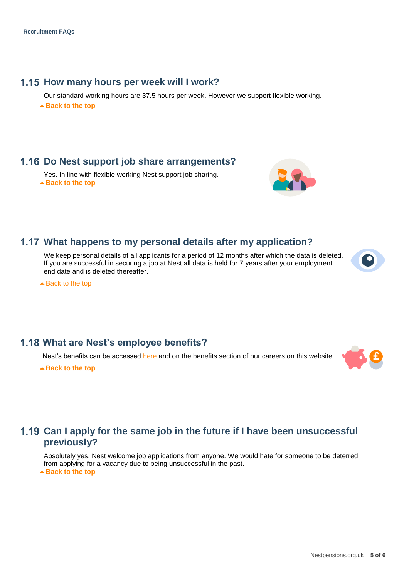# **1.15 How many hours per week will I work?**

<span id="page-4-0"></span>Our standard working hours are 37.5 hours per week. However we support flexible working. ▲ [Back to the top](#page-0-0)

# **Do Nest support job share arrangements?**

<span id="page-4-1"></span>Yes. In line with flexible working Nest support job sharing. **[Back to the top](#page-0-0)**

#### **What happens to my personal details after my application?**

<span id="page-4-2"></span>We keep personal details of all applicants for a period of 12 months after which the data is deleted. If you are successful in securing a job at Nest all data is held for 7 years after your employment end date and is deleted thereafter.

▲ [Back to the top](#page-0-0)

# **What are Nest's employee benefits?**

<span id="page-4-3"></span>Nest's benefits can be accessed here and on the benefits section of our careers on this website.

▲ [Back to the top](#page-0-0)

# <span id="page-4-4"></span>**Can I apply for the same job in the future if I have been unsuccessful previously?**

Absolutely yes. Nest welcome job applications from anyone. We would hate for someone to be deterred from applying for a vacancy due to being unsuccessful in the past. ▲ [Back to the top](#page-0-0)